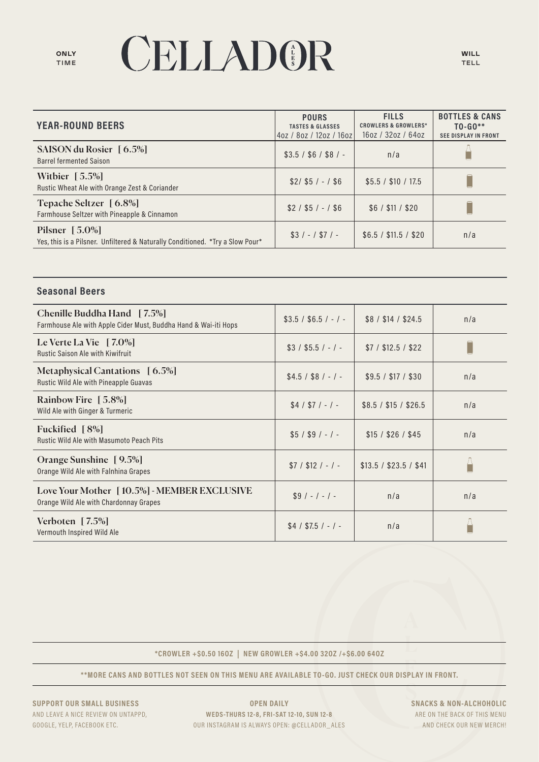# CELLADOR

| <b>YEAR-ROUND BEERS</b>                                                                            | <b>POURS</b><br><b>TASTES &amp; GLASSES</b><br>4oz / 8oz / 12oz / 16oz | <b>FILLS</b><br><b>CROWLERS &amp; GROWLERS*</b><br>160Z / 320Z / 640Z | <b>BOTTLES &amp; CANS</b><br>$TO-GO**$<br><b>SEE DISPLAY IN FRONT</b> |
|----------------------------------------------------------------------------------------------------|------------------------------------------------------------------------|-----------------------------------------------------------------------|-----------------------------------------------------------------------|
| SAISON du Rosier [6.5%]<br><b>Barrel fermented Saison</b>                                          | $$3.5 / $6 / $8 / -$                                                   | n/a                                                                   |                                                                       |
| Withier $[5.5\%]$<br>Rustic Wheat Ale with Orange Zest & Coriander                                 | $$2/$ \$5 / - / \$6                                                    | \$5.5 / \$10 / 17.5                                                   |                                                                       |
| Tepache Seltzer [6.8%]<br>Farmhouse Seltzer with Pineapple & Cinnamon                              | $$2 / $5 / - / $6$                                                     | \$6 / \$11 / \$20                                                     |                                                                       |
| Pilsner $[5.0\%]$<br>Yes, this is a Pilsner. Unfiltered & Naturally Conditioned. *Try a Slow Pour* | $$3/-/ $7/-$                                                           | \$6.5 / \$11.5 / \$20                                                 | n/a                                                                   |

### **Seasonal Beers**

| Chenille Buddha Hand [7.5%]<br>Farmhouse Ale with Apple Cider Must, Buddha Hand & Wai-iti Hops | $$3.5 / $6.5 / - / -$ | \$8 / \$14 / \$24.5    | n/a |
|------------------------------------------------------------------------------------------------|-----------------------|------------------------|-----|
| Le Verte La Vie $\left[7.0\% \right]$<br><b>Rustic Saison Ale with Kiwifruit</b>               | $$3 / $5.5 / - / -$   | $$7/$ \$12.5 / \$22    |     |
| Metaphysical Cantations [6.5%]<br>Rustic Wild Ale with Pineapple Guavas                        | $$4.5 / $8 / - / -$   | \$9.5 / \$17 / \$30    | n/a |
| Rainbow Fire [5.8%]<br>Wild Ale with Ginger & Turmeric                                         | $$4 / $7 / - / -$     | \$8.5 / \$15 / \$26.5  | n/a |
| Fuckified $\lceil 8\% \rceil$<br><b>Rustic Wild Ale with Masumoto Peach Pits</b>               | $$5 / $9 / - / -$     | \$15 / \$26 / \$45     | n/a |
| Orange Sunshine [9.5%]<br>Orange Wild Ale with Falnhina Grapes                                 | $$7 / $12 / - / -$    | \$13.5 / \$23.5 / \$41 |     |
| Love Your Mother [10.5%] - MEMBER EXCLUSIVE<br>Orange Wild Ale with Chardonnay Grapes          | $$9/-/-/ -$           | n/a                    | n/a |
| Verboten $[7.5\%]$<br>Vermouth Inspired Wild Ale                                               | $$4 / $7.5 / - / -$   | n/a                    |     |

\*CROWLER +\$0.50 160Z | NEW GROWLER +\$4.00 320Z /+\$6.00 640Z

\*\* MORE CANS AND BOTTLES NOT SEEN ON THIS MENU ARE AVAILABLE TO-GO. JUST CHECK OUR DISPLAY IN FRONT.

SUPPORT OUR SMALL BUSINESS AND LEAVE A NICE REVIEW ON UNTAPPD, GOOGLE, YELP, FACEBOOK ETC.

**OPEN DAILY** WEDS-THURS 12-8, FRI-SAT 12-10, SUN 12-8 OUR INSTAGRAM IS ALWAYS OPEN: @CELLADOR\_ALES

**SNACKS & NON-ALCHOHOLIC** ARE ON THE BACK OF THIS MENU AND CHECK OUR NEW MERCH!